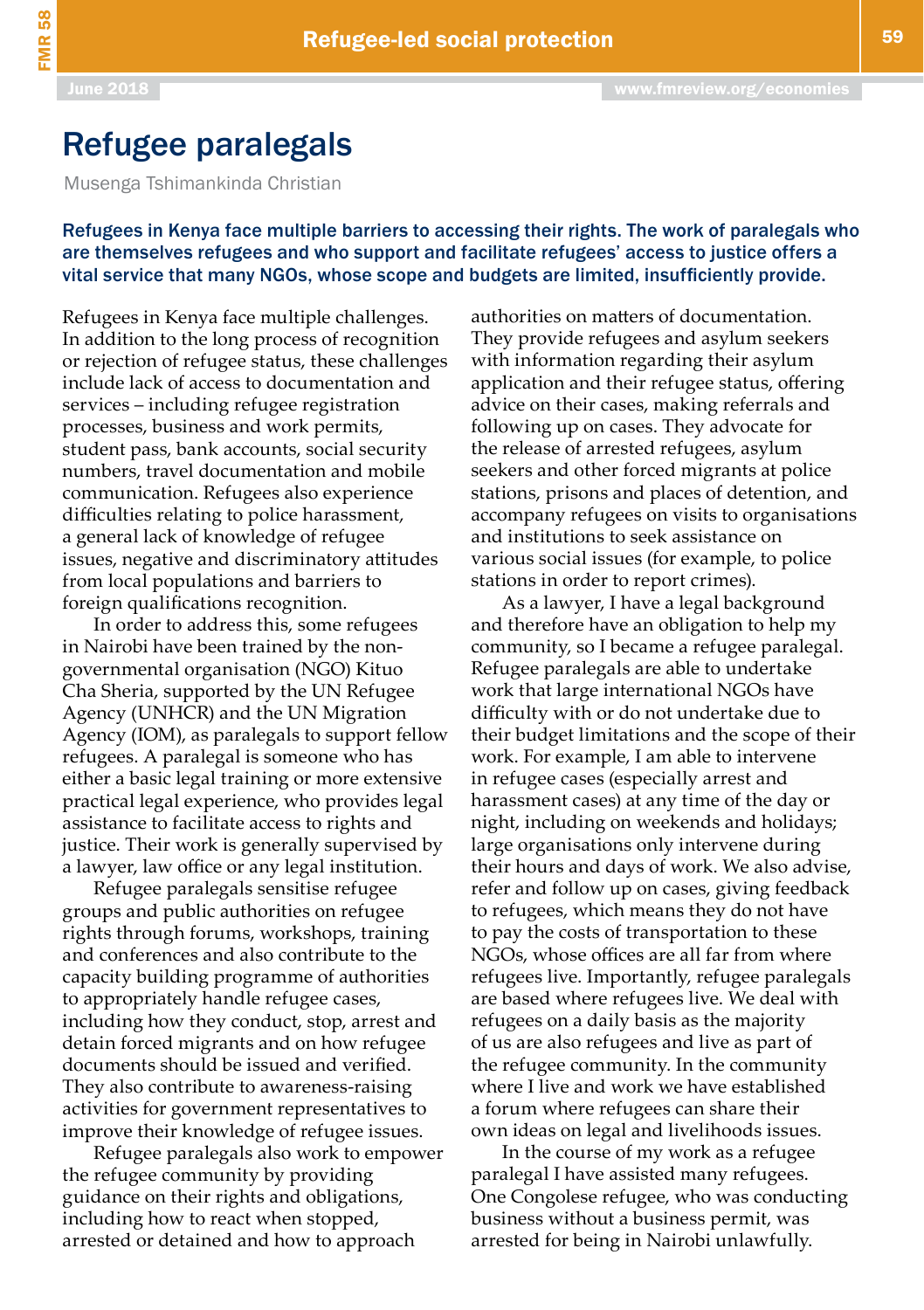## Refugee paralegals

Musenga Tshimankinda Christian

## Refugees in Kenya face multiple barriers to accessing their rights. The work of paralegals who are themselves refugees and who support and facilitate refugees' access to justice offers a vital service that many NGOs, whose scope and budgets are limited, insufficiently provide.

Refugees in Kenya face multiple challenges. In addition to the long process of recognition or rejection of refugee status, these challenges include lack of access to documentation and services – including refugee registration processes, business and work permits, student pass, bank accounts, social security numbers, travel documentation and mobile communication. Refugees also experience difficulties relating to police harassment, a general lack of knowledge of refugee issues, negative and discriminatory attitudes from local populations and barriers to foreign qualifications recognition.

In order to address this, some refugees in Nairobi have been trained by the nongovernmental organisation (NGO) Kituo Cha Sheria, supported by the UN Refugee Agency (UNHCR) and the UN Migration Agency (IOM), as paralegals to support fellow refugees. A paralegal is someone who has either a basic legal training or more extensive practical legal experience, who provides legal assistance to facilitate access to rights and justice. Their work is generally supervised by a lawyer, law office or any legal institution.

Refugee paralegals sensitise refugee groups and public authorities on refugee rights through forums, workshops, training and conferences and also contribute to the capacity building programme of authorities to appropriately handle refugee cases, including how they conduct, stop, arrest and detain forced migrants and on how refugee documents should be issued and verified. They also contribute to awareness-raising activities for government representatives to improve their knowledge of refugee issues.

Refugee paralegals also work to empower the refugee community by providing guidance on their rights and obligations, including how to react when stopped, arrested or detained and how to approach

authorities on matters of documentation. They provide refugees and asylum seekers with information regarding their asylum application and their refugee status, offering advice on their cases, making referrals and following up on cases. They advocate for the release of arrested refugees, asylum seekers and other forced migrants at police stations, prisons and places of detention, and accompany refugees on visits to organisations and institutions to seek assistance on various social issues (for example, to police stations in order to report crimes).

As a lawyer, I have a legal background and therefore have an obligation to help my community, so I became a refugee paralegal. Refugee paralegals are able to undertake work that large international NGOs have difficulty with or do not undertake due to their budget limitations and the scope of their work. For example, I am able to intervene in refugee cases (especially arrest and harassment cases) at any time of the day or night, including on weekends and holidays; large organisations only intervene during their hours and days of work. We also advise, refer and follow up on cases, giving feedback to refugees, which means they do not have to pay the costs of transportation to these NGOs, whose offices are all far from where refugees live. Importantly, refugee paralegals are based where refugees live. We deal with refugees on a daily basis as the majority of us are also refugees and live as part of the refugee community. In the community where I live and work we have established a forum where refugees can share their own ideas on legal and livelihoods issues.

l<br>T In the course of my work as a refugee paralegal I have assisted many refugees. One Congolese refugee, who was conducting business without a business permit, was arrested for being in Nairobi unlawfully.